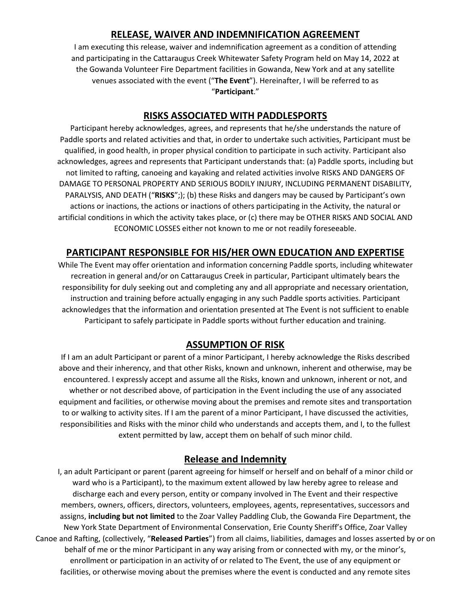# **RELEASE, WAIVER AND INDEMNIFICATION AGREEMENT**

I am executing this release, waiver and indemnification agreement as a condition of attending and participating in the Cattaraugus Creek Whitewater Safety Program held on May 14, 2022 at the Gowanda Volunteer Fire Department facilities in Gowanda, New York and at any satellite venues associated with the event ("**The Event**"). Hereinafter, I will be referred to as "**Participant**."

### **RISKS ASSOCIATED WITH PADDLESPORTS**

Participant hereby acknowledges, agrees, and represents that he/she understands the nature of Paddle sports and related activities and that, in order to undertake such activities, Participant must be qualified, in good health, in proper physical condition to participate in such activity. Participant also acknowledges, agrees and represents that Participant understands that: (a) Paddle sports, including but not limited to rafting, canoeing and kayaking and related activities involve RISKS AND DANGERS OF DAMAGE TO PERSONAL PROPERTY AND SERIOUS BODILY INJURY, INCLUDING PERMANENT DISABILITY, PARALYSIS, AND DEATH ("**RISKS**";); (b) these Risks and dangers may be caused by Participant's own actions or inactions, the actions or inactions of others participating in the Activity, the natural or artificial conditions in which the activity takes place, or (c) there may be OTHER RISKS AND SOCIAL AND ECONOMIC LOSSES either not known to me or not readily foreseeable.

### **PARTICIPANT RESPONSIBLE FOR HIS/HER OWN EDUCATION AND EXPERTISE**

While The Event may offer orientation and information concerning Paddle sports, including whitewater recreation in general and/or on Cattaraugus Creek in particular, Participant ultimately bears the responsibility for duly seeking out and completing any and all appropriate and necessary orientation, instruction and training before actually engaging in any such Paddle sports activities. Participant acknowledges that the information and orientation presented at The Event is not sufficient to enable Participant to safely participate in Paddle sports without further education and training.

#### **ASSUMPTION OF RISK**

If I am an adult Participant or parent of a minor Participant, I hereby acknowledge the Risks described above and their inherency, and that other Risks, known and unknown, inherent and otherwise, may be encountered. I expressly accept and assume all the Risks, known and unknown, inherent or not, and whether or not described above, of participation in the Event including the use of any associated equipment and facilities, or otherwise moving about the premises and remote sites and transportation to or walking to activity sites. If I am the parent of a minor Participant, I have discussed the activities, responsibilities and Risks with the minor child who understands and accepts them, and I, to the fullest extent permitted by law, accept them on behalf of such minor child.

#### **Release and Indemnity**

I, an adult Participant or parent (parent agreeing for himself or herself and on behalf of a minor child or ward who is a Participant), to the maximum extent allowed by law hereby agree to release and discharge each and every person, entity or company involved in The Event and their respective members, owners, officers, directors, volunteers, employees, agents, representatives, successors and assigns, **including but not limited** to the Zoar Valley Paddling Club, the Gowanda Fire Department, the New York State Department of Environmental Conservation, Erie County Sheriff's Office, Zoar Valley Canoe and Rafting, (collectively, "**Released Parties**") from all claims, liabilities, damages and losses asserted by or on behalf of me or the minor Participant in any way arising from or connected with my, or the minor's, enrollment or participation in an activity of or related to The Event, the use of any equipment or facilities, or otherwise moving about the premises where the event is conducted and any remote sites